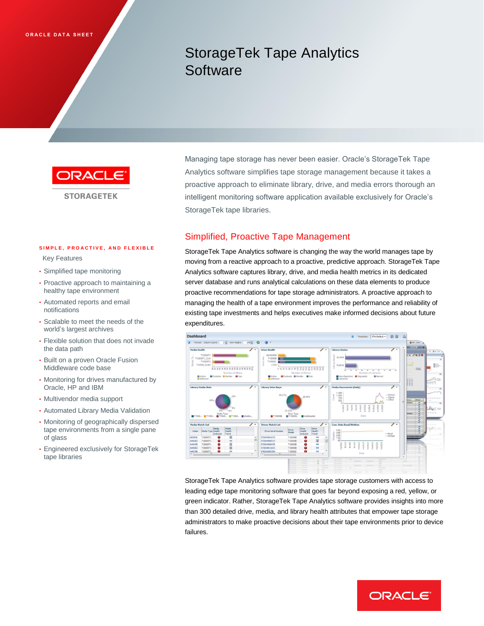# StorageTek Tape Analytics **Software**



**STORAGETEK** 

#### SIMPLE, PROACTIVE, AND FLEXIBLE

Key Features

- Simplified tape monitoring
- • Proactive approach to maintaining a healthy tape environment
- • Automated reports and email notifications
- • Scalable to meet the needs of the world's largest archives
- • Flexible solution that does not invade the data path
- • Built on a proven Oracle Fusion Middleware code base
- • Monitoring for drives manufactured by Oracle, HP and IBM
- Multivendor media support
- Automated Library Media Validation
- • Monitoring of geographically dispersed tape environments from a single pane of glass
- • Engineered exclusively for StorageTek tape libraries

Managing tape storage has never been easier. Oracle's StorageTek Tape Analytics software simplifies tape storage management because it takes a proactive approach to eliminate library, drive, and media errors thorough an intelligent monitoring software application available exclusively for Oracle's StorageTek tape libraries.

## Simplified, Proactive Tape Management

 StorageTek Tape Analytics software is changing the way the world manages tape by moving from a reactive approach to a proactive, predictive approach. StorageTek Tape Analytics software captures library, drive, and media health metrics in its dedicated server database and runs analytical calculations on these data elements to produce proactive recommendations for tape storage administrators. A proactive approach to managing the health of a tape environment improves the performance and reliability of existing tape investments and helps executives make informed decisions about future expenditures.



 StorageTek Tape Analytics software provides tape storage customers with access to leading edge tape monitoring software that goes far beyond exposing a red, yellow, or green indicator. Rather, StorageTek Tape Analytics software provides insights into more than 300 detailed drive, media, and library health attributes that empower tape storage administrators to make proactive decisions about their tape environments prior to device failures.

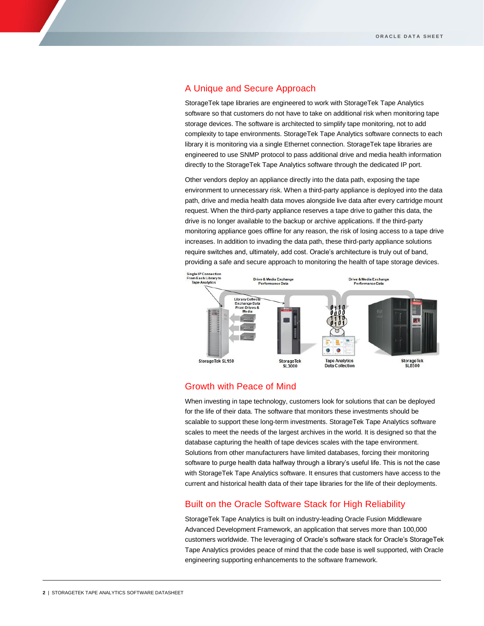### A Unique and Secure Approach

 StorageTek tape libraries are engineered to work with StorageTek Tape Analytics software so that customers do not have to take on additional risk when monitoring tape storage devices. The software is architected to simplify tape monitoring, not to add complexity to tape environments. StorageTek Tape Analytics software connects to each library it is monitoring via a single Ethernet connection. StorageTek tape libraries are engineered to use SNMP protocol to pass additional drive and media health information directly to the StorageTek Tape Analytics software through the dedicated IP port.

 Other vendors deploy an appliance directly into the data path, exposing the tape environment to unnecessary risk. When a third-party appliance is deployed into the data path, drive and media health data moves alongside live data after every cartridge mount request. When the third-party appliance reserves a tape drive to gather this data, the drive is no longer available to the backup or archive applications. If the third-party monitoring appliance goes offline for any reason, the risk of losing access to a tape drive increases. In addition to invading the data path, these third-party appliance solutions require switches and, ultimately, add cost. Oracle's architecture is truly out of band, providing a safe and secure approach to monitoring the health of tape storage devices.



#### Growth with Peace of Mind

 When investing in tape technology, customers look for solutions that can be deployed for the life of their data. The software that monitors these investments should be scalable to support these long-term investments. StorageTek Tape Analytics software scales to meet the needs of the largest archives in the world. It is designed so that the database capturing the health of tape devices scales with the tape environment. Solutions from other manufacturers have limited databases, forcing their monitoring software to purge health data halfway through a library's useful life. This is not the case with StorageTek Tape Analytics software. It ensures that customers have access to the current and historical health data of their tape libraries for the life of their deployments.

## Built on the Oracle Software Stack for High Reliability

 StorageTek Tape Analytics is built on industry-leading Oracle Fusion Middleware Advanced Development Framework, an application that serves more than 100,000 customers worldwide. The leveraging of Oracle's software stack for Oracle's StorageTek Tape Analytics provides peace of mind that the code base is well supported, with Oracle engineering supporting enhancements to the software framework.